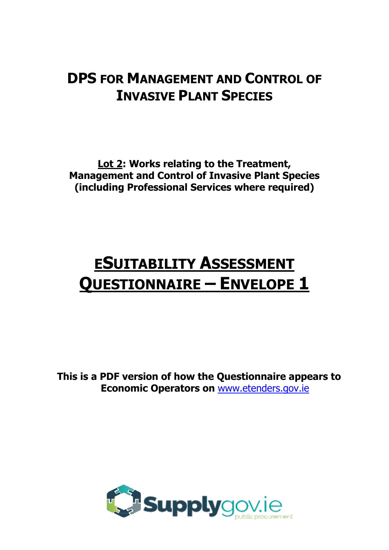## **DPS FOR MANAGEMENT AND CONTROL OF INVASIVE PLANT SPECIES**

**Lot 2: Works relating to the Treatment, Management and Control of Invasive Plant Species (including Professional Services where required)**

# **ESUITABILITY ASSESSMENT QUESTIONNAIRE – ENVELOPE 1**

**This is a PDF version of how the Questionnaire appears to Economic Operators on** [www.etenders.gov.ie](mailto:eproc@kerrycoco.ie)

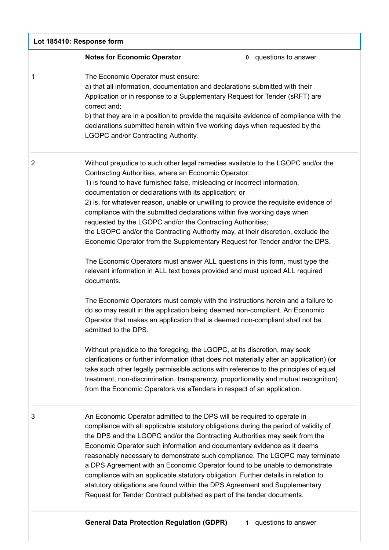| Lot 185410: Response form |                                                                                                                                                                                                                                                                                                                                                                                                                                                                                                                                                                                                                                                                                                                                                                                                                                                                                                                                                                                                                                                                                                                                                                                                                                                                                                                                                                                                                                                                                                                                                                                     |
|---------------------------|-------------------------------------------------------------------------------------------------------------------------------------------------------------------------------------------------------------------------------------------------------------------------------------------------------------------------------------------------------------------------------------------------------------------------------------------------------------------------------------------------------------------------------------------------------------------------------------------------------------------------------------------------------------------------------------------------------------------------------------------------------------------------------------------------------------------------------------------------------------------------------------------------------------------------------------------------------------------------------------------------------------------------------------------------------------------------------------------------------------------------------------------------------------------------------------------------------------------------------------------------------------------------------------------------------------------------------------------------------------------------------------------------------------------------------------------------------------------------------------------------------------------------------------------------------------------------------------|
|                           | <b>Notes for Economic Operator</b><br><b>0</b> questions to answer                                                                                                                                                                                                                                                                                                                                                                                                                                                                                                                                                                                                                                                                                                                                                                                                                                                                                                                                                                                                                                                                                                                                                                                                                                                                                                                                                                                                                                                                                                                  |
| 1                         | The Economic Operator must ensure:<br>a) that all information, documentation and declarations submitted with their<br>Application or in response to a Supplementary Request for Tender (sRFT) are<br>correct and;<br>b) that they are in a position to provide the requisite evidence of compliance with the<br>declarations submitted herein within five working days when requested by the<br><b>LGOPC and/or Contracting Authority.</b>                                                                                                                                                                                                                                                                                                                                                                                                                                                                                                                                                                                                                                                                                                                                                                                                                                                                                                                                                                                                                                                                                                                                          |
| $\overline{2}$            | Without prejudice to such other legal remedies available to the LGOPC and/or the<br>Contracting Authorities, where an Economic Operator:<br>1) is found to have furnished false, misleading or incorrect information,<br>documentation or declarations with its application; or<br>2) is, for whatever reason, unable or unwilling to provide the requisite evidence of<br>compliance with the submitted declarations within five working days when<br>requested by the LGOPC and/or the Contracting Authorities;<br>the LGOPC and/or the Contracting Authority may, at their discretion, exclude the<br>Economic Operator from the Supplementary Request for Tender and/or the DPS.<br>The Economic Operators must answer ALL questions in this form, must type the<br>relevant information in ALL text boxes provided and must upload ALL required<br>documents.<br>The Economic Operators must comply with the instructions herein and a failure to<br>do so may result in the application being deemed non-compliant. An Economic<br>Operator that makes an application that is deemed non-compliant shall not be<br>admitted to the DPS.<br>Without prejudice to the foregoing, the LGOPC, at its discretion, may seek<br>clarifications or further information (that does not materially alter an application) (or<br>take such other legally permissible actions with reference to the principles of equal<br>treatment, non-discrimination, transparency, proportionality and mutual recognition)<br>from the Economic Operators via eTenders in respect of an application. |
| 3                         | An Economic Operator admitted to the DPS will be required to operate in<br>compliance with all applicable statutory obligations during the period of validity of<br>the DPS and the LGOPC and/or the Contracting Authorities may seek from the<br>Economic Operator such information and documentary evidence as it deems<br>reasonably necessary to demonstrate such compliance. The LGOPC may terminate<br>a DPS Agreement with an Economic Operator found to be unable to demonstrate<br>compliance with an applicable statutory obligation. Further details in relation to<br>statutory obligations are found within the DPS Agreement and Supplementary<br>Request for Tender Contract published as part of the tender documents.                                                                                                                                                                                                                                                                                                                                                                                                                                                                                                                                                                                                                                                                                                                                                                                                                                              |

https://irl.eu-supply.com/app/rfq/response\_form\_print.asp?RFID=212190&TID=185410&PID=183745&LN=&E=-1&IID=&EM= 1/26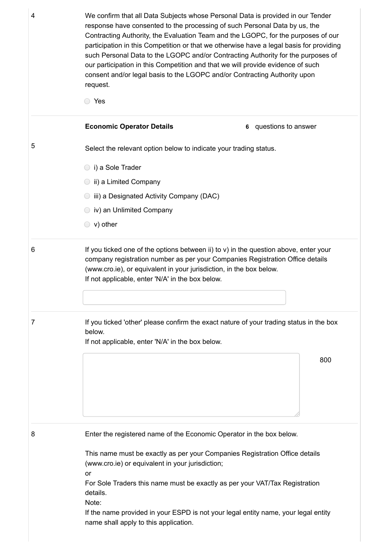4 **2004** We confirm that all Data Subjects whose Personal Data is provided in our Tender **Economic Operator Details 6** questions to answer response have consented to the processing of such Personal Data by us, the Contracting Authority, the Evaluation Team and the LGOPC, for the purposes of our participation in this Competition or that we otherwise have a legal basis for providing such Personal Data to the LGOPC and/or Contracting Authority for the purposes of our participation in this Competition and that we will provide evidence of such consent and/or legal basis to the LGOPC and/or Contracting Authority upon request. Yes 5 Select the relevant option below to indicate your trading status. i) a Sole Trader **ii**) a Limited Company iii) a Designated Activity Company (DAC) iv) an Unlimited Company v) other  $6 \rightarrow$  If you ticked one of the options between ii) to v) in the question above, enter your company registration number as per your Companies Registration Office details (www.cro.ie), or equivalent in your jurisdiction, in the box below. If not applicable, enter 'N/A' in the box below. 7 If you ticked 'other' please confirm the exact nature of your trading status in the box below. If not applicable, enter 'N/A' in the box below. 800 8 Enter the registered name of the Economic Operator in the box below. This name must be exactly as per your Companies Registration Office details (www.cro.ie) or equivalent in your jurisdiction; or For Sole Traders this name must be exactly as per your VAT/Tax Registration

> details. Note:

> > If the name provided in your ESPD is not your legal entity name, your legal entity name shall apply to this application.

https://irl.eu-supply.com/app/rfq/response\_form\_print.asp?RFID=212190&TID=185410&PID=183745&LN=&E=-1&IID=&EM= 2/26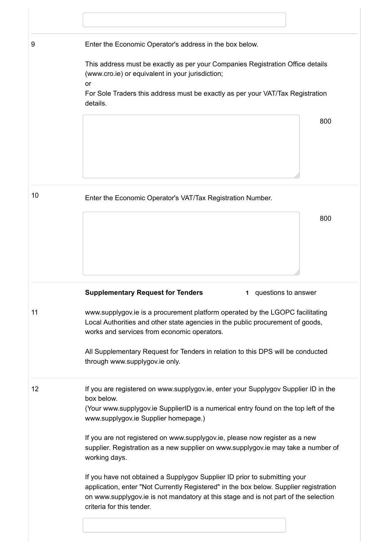| 9  | Enter the Economic Operator's address in the box below.                                                                                                                                                                         |
|----|---------------------------------------------------------------------------------------------------------------------------------------------------------------------------------------------------------------------------------|
|    | This address must be exactly as per your Companies Registration Office details<br>(www.cro.ie) or equivalent in your jurisdiction;<br>or                                                                                        |
|    | For Sole Traders this address must be exactly as per your VAT/Tax Registration<br>details.                                                                                                                                      |
|    | 800                                                                                                                                                                                                                             |
| 10 | Enter the Economic Operator's VAT/Tax Registration Number.                                                                                                                                                                      |
|    | 800                                                                                                                                                                                                                             |
|    | <b>Supplementary Request for Tenders</b><br>questions to answer<br>1.                                                                                                                                                           |
| 11 | www.supplygov.ie is a procurement platform operated by the LGOPC facilitating<br>Local Authorities and other state agencies in the public procurement of goods,<br>works and services from economic operators.                  |
|    | All Supplementary Request for Tenders in relation to this DPS will be conducted<br>through www.supplygov.ie only.                                                                                                               |
| 12 | If you are registered on www.supplygov.ie, enter your Supplygov Supplier ID in the<br>box below.<br>(Your www.supplygov.ie SupplierID is a numerical entry found on the top left of the<br>www.supplygov.ie Supplier homepage.) |
|    | If you are not registered on www.supplygov.ie, please now register as a new                                                                                                                                                     |
|    | supplier. Registration as a new supplier on www.supplygov.ie may take a number of<br>working days.                                                                                                                              |

https://irl.eu-supply.com/app/rfq/response\_form\_print.asp?RFID=212190&TID=185410&PID=183745&LN=&E=-1&IID=&EM= 3/26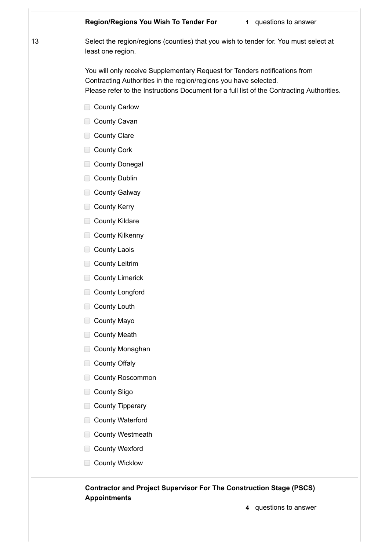#### **Region/Regions You Wish To Tender For 1** questions to answer

20/04/2021 european compared and compared and compared and compared and compared and compared and compared and

13 Select the region/regions (counties) that you wish to tender for. You must select at least one region.

> You will only receive Supplementary Request for Tenders notifications from Contracting Authorities in the region/regions you have selected. Please refer to the Instructions Document for a full list of the Contracting Authorities.

- County Carlow
- County Cavan
- County Clare
- County Cork
- County Donegal
- **County Dublin**
- **County Galway**
- County Kerry
- **County Kildare**
- County Kilkenny
- County Laois
- County Leitrim
- County Limerick
- County Longford
- County Louth
- County Mayo
- County Meath
- County Monaghan
- County Offaly
- County Roscommon
- County Sligo
- County Tipperary
- County Waterford
- County Westmeath
- County Wexford
- County Wicklow

### **Contractor and Project Supervisor For The Construction Stage (PSCS) Appointments**

https://irl.eu-supply.com/app/rfq/response\_form\_print.asp?RFID=212190&TID=185410&PID=183745&LN=&E=-1&IID=&EM= 4/26

**4** questions to answer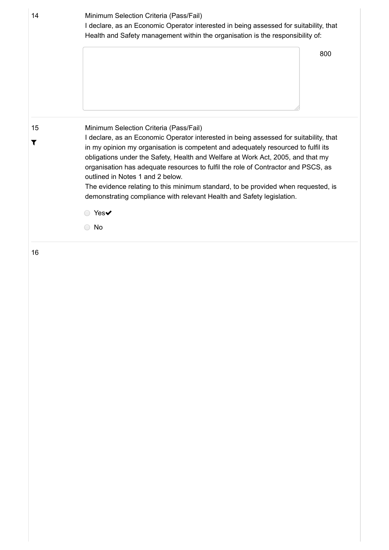| 14      | Minimum Selection Criteria (Pass/Fail)<br>I declare, as an Economic Operator interested in being assessed for suitability, that<br>Health and Safety management within the organisation is the responsibility of:                                                                                                                                                                                                                                                                                                                                                                              |  |  |
|---------|------------------------------------------------------------------------------------------------------------------------------------------------------------------------------------------------------------------------------------------------------------------------------------------------------------------------------------------------------------------------------------------------------------------------------------------------------------------------------------------------------------------------------------------------------------------------------------------------|--|--|
|         | 800                                                                                                                                                                                                                                                                                                                                                                                                                                                                                                                                                                                            |  |  |
|         |                                                                                                                                                                                                                                                                                                                                                                                                                                                                                                                                                                                                |  |  |
| 15<br>T | Minimum Selection Criteria (Pass/Fail)<br>I declare, as an Economic Operator interested in being assessed for suitability, that<br>in my opinion my organisation is competent and adequately resourced to fulfil its<br>obligations under the Safety, Health and Welfare at Work Act, 2005, and that my<br>organisation has adequate resources to fulfil the role of Contractor and PSCS, as<br>outlined in Notes 1 and 2 below.<br>The evidence relating to this minimum standard, to be provided when requested, is<br>demonstrating compliance with relevant Health and Safety legislation. |  |  |
|         | Yes $\blacktriangledown$                                                                                                                                                                                                                                                                                                                                                                                                                                                                                                                                                                       |  |  |
|         | No                                                                                                                                                                                                                                                                                                                                                                                                                                                                                                                                                                                             |  |  |

https://irl.eu-supply.com/app/rfq/response\_form\_print.asp?RFID=212190&TID=185410&PID=183745&LN=&E=-1&IID=&EM= 5/26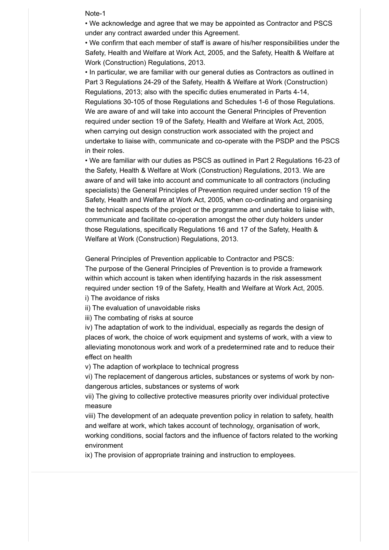#### 2004 europe Note-1 europe and a series of the Note-1 europe and a series of the Note-1 europe and a series of the Note-1 europe and a series of the Note-1 europe and a series of the Note-1 europe and a series of the Note-1

• We acknowledge and agree that we may be appointed as Contractor and PSCS under any contract awarded under this Agreement.

• We confirm that each member of staff is aware of his/her responsibilities under the Safety, Health and Welfare at Work Act, 2005, and the Safety, Health & Welfare at Work (Construction) Regulations, 2013.

• In particular, we are familiar with our general duties as Contractors as outlined in Part 3 Regulations 24-29 of the Safety, Health & Welfare at Work (Construction) Regulations, 2013; also with the specific duties enumerated in Parts 4-14, Regulations 30-105 of those Regulations and Schedules 1-6 of those Regulations. We are aware of and will take into account the General Principles of Prevention required under section 19 of the Safety, Health and Welfare at Work Act, 2005, when carrying out design construction work associated with the project and undertake to liaise with, communicate and co-operate with the PSDP and the PSCS in their roles.

• We are familiar with our duties as PSCS as outlined in Part 2 Regulations 16-23 of the Safety, Health & Welfare at Work (Construction) Regulations, 2013. We are aware of and will take into account and communicate to all contractors (including specialists) the General Principles of Prevention required under section 19 of the Safety, Health and Welfare at Work Act, 2005, when co-ordinating and organising the technical aspects of the project or the programme and undertake to liaise with, communicate and facilitate co-operation amongst the other duty holders under those Regulations, specifically Regulations 16 and 17 of the Safety, Health & Welfare at Work (Construction) Regulations, 2013.

General Principles of Prevention applicable to Contractor and PSCS:

The purpose of the General Principles of Prevention is to provide a framework within which account is taken when identifying hazards in the risk assessment required under section 19 of the Safety, Health and Welfare at Work Act, 2005. i) The avoidance of risks

ii) The evaluation of unavoidable risks

iii) The combating of risks at source

iv) The adaptation of work to the individual, especially as regards the design of places of work, the choice of work equipment and systems of work, with a view to alleviating monotonous work and work of a predetermined rate and to reduce their effect on health

v) The adaption of workplace to technical progress

vi) The replacement of dangerous articles, substances or systems of work by nondangerous articles, substances or systems of work

vii) The giving to collective protective measures priority over individual protective measure

viii) The development of an adequate prevention policy in relation to safety, health and welfare at work, which takes account of technology, organisation of work,

working conditions, social factors and the influence of factors related to the working environment

ix) The provision of appropriate training and instruction to employees.

https://irl.eu-supply.com/app/rfq/response\_form\_print.asp?RFID=212190&TID=185410&PID=183745&LN=&E=-1&IID=&EM= 6/26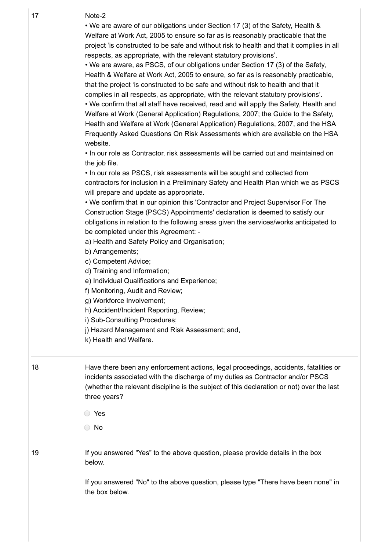#### $27$  Note 20 17 Note-2

• We are aware of our obligations under Section 17 (3) of the Safety, Health & Welfare at Work Act, 2005 to ensure so far as is reasonably practicable that the project 'is constructed to be safe and without risk to health and that it complies in all respects, as appropriate, with the relevant statutory provisions'.

• We are aware, as PSCS, of our obligations under Section 17 (3) of the Safety, Health & Welfare at Work Act, 2005 to ensure, so far as is reasonably practicable, that the project 'is constructed to be safe and without risk to health and that it complies in all respects, as appropriate, with the relevant statutory provisions'.

• We confirm that all staff have received, read and will apply the Safety, Health and Welfare at Work (General Application) Regulations, 2007; the Guide to the Safety, Health and Welfare at Work (General Application) Regulations, 2007, and the HSA Frequently Asked Questions On Risk Assessments which are available on the HSA website.

• In our role as Contractor, risk assessments will be carried out and maintained on the job file.

• In our role as PSCS, risk assessments will be sought and collected from contractors for inclusion in a Preliminary Safety and Health Plan which we as PSCS will prepare and update as appropriate.

• We confirm that in our opinion this 'Contractor and Project Supervisor For The Construction Stage (PSCS) Appointments' declaration is deemed to satisfy our obligations in relation to the following areas given the services/works anticipated to be completed under this Agreement: -

a) Health and Safety Policy and Organisation;

b) Arrangements;

c) Competent Advice;

d) Training and Information;

e) Individual Qualifications and Experience;

f) Monitoring, Audit and Review;

g) Workforce Involvement;

h) Accident/Incident Reporting, Review;

i) Sub-Consulting Procedures;

j) Hazard Management and Risk Assessment; and,

k) Health and Welfare.

18 Have there been any enforcement actions, legal proceedings, accidents, fatalities or incidents associated with the discharge of my duties as Contractor and/or PSCS (whether the relevant discipline is the subject of this declaration or not) over the last three years?

Yes

No

19 **If you answered "Yes" to the above question, please provide details in the box** below.

https://irl.eu-supply.com/app/rfq/response\_form\_print.asp?RFID=212190&TID=185410&PID=183745&LN=&E=-1&IID=&EM= 7/26

If you answered "No" to the above question, please type "There have been none" in the box below.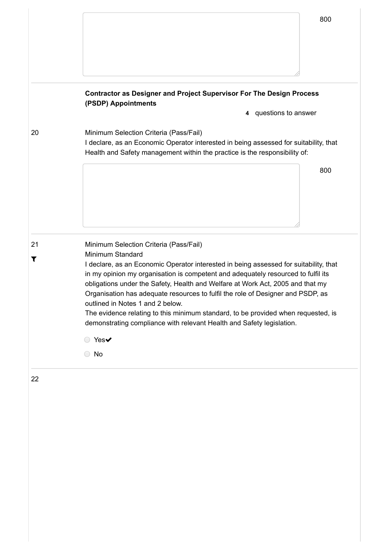|         |                                                                                                                                                                                                               | 800 |
|---------|---------------------------------------------------------------------------------------------------------------------------------------------------------------------------------------------------------------|-----|
|         |                                                                                                                                                                                                               |     |
|         |                                                                                                                                                                                                               |     |
|         | <b>Contractor as Designer and Project Supervisor For The Design Process</b><br>(PSDP) Appointments                                                                                                            |     |
|         | 4 questions to answer                                                                                                                                                                                         |     |
| 20      | Minimum Selection Criteria (Pass/Fail)<br>I declare, as an Economic Operator interested in being assessed for suitability, that<br>Health and Safety management within the practice is the responsibility of: |     |
|         |                                                                                                                                                                                                               | 800 |
|         |                                                                                                                                                                                                               |     |
|         |                                                                                                                                                                                                               |     |
|         |                                                                                                                                                                                                               |     |
|         |                                                                                                                                                                                                               |     |
|         | Minimum Selection Criteria (Pass/Fail)<br>Minimum Standard                                                                                                                                                    |     |
| 21<br>T | I declare, as an Economic Operator interested in being assessed for suitability, that                                                                                                                         |     |
|         | in my opinion my organisation is competent and adequately resourced to fulfil its                                                                                                                             |     |
|         | obligations under the Safety, Health and Welfare at Work Act, 2005 and that my                                                                                                                                |     |
|         | Organisation has adequate resources to fulfil the role of Designer and PSDP, as<br>outlined in Notes 1 and 2 below.                                                                                           |     |
|         | The evidence relating to this minimum standard, to be provided when requested, is                                                                                                                             |     |
|         | demonstrating compliance with relevant Health and Safety legislation.                                                                                                                                         |     |
|         | ○ Yes✔                                                                                                                                                                                                        |     |

https://irl.eu-supply.com/app/rfq/response\_form\_print.asp?RFID=212190&TID=185410&PID=183745&LN=&E=-1&IID=&EM= 8/26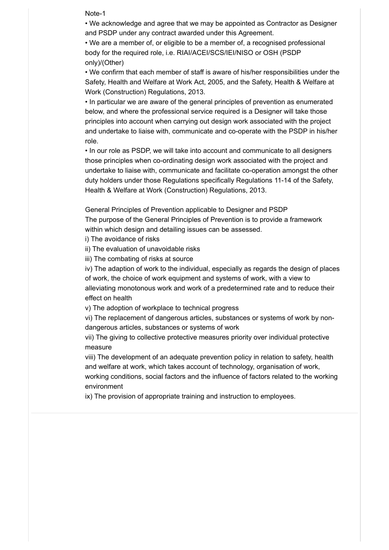2004 europe Note-1 europe and a series of the Note-1 europe and a series of the Note-1 europe and a series of the Note-1 europe and a series of the Note-1 europe and a series of the Note-1 europe and a series of the Note-1

• We acknowledge and agree that we may be appointed as Contractor as Designer and PSDP under any contract awarded under this Agreement.

• We are a member of, or eligible to be a member of, a recognised professional body for the required role, i.e. RIAI/ACEI/SCS/IEI/NISO or OSH (PSDP only)/(Other)

• We confirm that each member of staff is aware of his/her responsibilities under the Safety, Health and Welfare at Work Act, 2005, and the Safety, Health & Welfare at Work (Construction) Regulations, 2013.

• In particular we are aware of the general principles of prevention as enumerated below, and where the professional service required is a Designer will take those principles into account when carrying out design work associated with the project and undertake to liaise with, communicate and co-operate with the PSDP in his/her role.

• In our role as PSDP, we will take into account and communicate to all designers those principles when co-ordinating design work associated with the project and undertake to liaise with, communicate and facilitate co-operation amongst the other duty holders under those Regulations specifically Regulations 11-14 of the Safety, Health & Welfare at Work (Construction) Regulations, 2013.

General Principles of Prevention applicable to Designer and PSDP

The purpose of the General Principles of Prevention is to provide a framework within which design and detailing issues can be assessed.

i) The avoidance of risks

ii) The evaluation of unavoidable risks

iii) The combating of risks at source

iv) The adaption of work to the individual, especially as regards the design of places of work, the choice of work equipment and systems of work, with a view to alleviating monotonous work and work of a predetermined rate and to reduce their effect on health

v) The adoption of workplace to technical progress

vi) The replacement of dangerous articles, substances or systems of work by nondangerous articles, substances or systems of work

vii) The giving to collective protective measures priority over individual protective measure

viii) The development of an adequate prevention policy in relation to safety, health and welfare at work, which takes account of technology, organisation of work, working conditions, social factors and the influence of factors related to the working environment

ix) The provision of appropriate training and instruction to employees.

https://irl.eu-supply.com/app/rfq/response\_form\_print.asp?RFID=212190&TID=185410&PID=183745&LN=&E=-1&IID=&EM= 9/26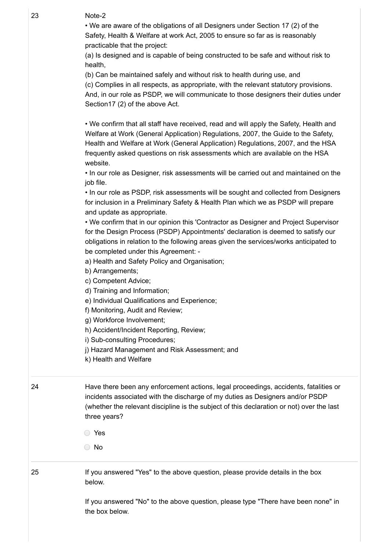$20$  Nets 2 23 Note-2

> • We are aware of the obligations of all Designers under Section 17 (2) of the Safety, Health & Welfare at work Act, 2005 to ensure so far as is reasonably practicable that the project:

(a) Is designed and is capable of being constructed to be safe and without risk to health,

(b) Can be maintained safely and without risk to health during use, and

(c) Complies in all respects, as appropriate, with the relevant statutory provisions. And, in our role as PSDP, we will communicate to those designers their duties under Section17 (2) of the above Act.

• We confirm that all staff have received, read and will apply the Safety, Health and Welfare at Work (General Application) Regulations, 2007, the Guide to the Safety, Health and Welfare at Work (General Application) Regulations, 2007, and the HSA frequently asked questions on risk assessments which are available on the HSA website.

• In our role as Designer, risk assessments will be carried out and maintained on the job file.

• In our role as PSDP, risk assessments will be sought and collected from Designers for inclusion in a Preliminary Safety & Health Plan which we as PSDP will prepare and update as appropriate.

• We confirm that in our opinion this 'Contractor as Designer and Project Supervisor for the Design Process (PSDP) Appointments' declaration is deemed to satisfy our obligations in relation to the following areas given the services/works anticipated to be completed under this Agreement: -

a) Health and Safety Policy and Organisation;

b) Arrangements;

c) Competent Advice;

d) Training and Information;

e) Individual Qualifications and Experience;

f) Monitoring, Audit and Review;

g) Workforce Involvement;

h) Accident/Incident Reporting, Review;

i) Sub-consulting Procedures;

j) Hazard Management and Risk Assessment; and

k) Health and Welfare

24 Have there been any enforcement actions, legal proceedings, accidents, fatalities or incidents associated with the discharge of my duties as Designers and/or PSDP (whether the relevant discipline is the subject of this declaration or not) over the last three years?

Yes

No

25 If you answered "Yes" to the above question, please provide details in the box below.

https://irl.eu-supply.com/app/rfq/response\_form\_print.asp?RFID=212190&TID=185410&PID=183745&LN=&E=-1&IID=&EM= 10/26

If you answered "No" to the above question, please type "There have been none" in the box below.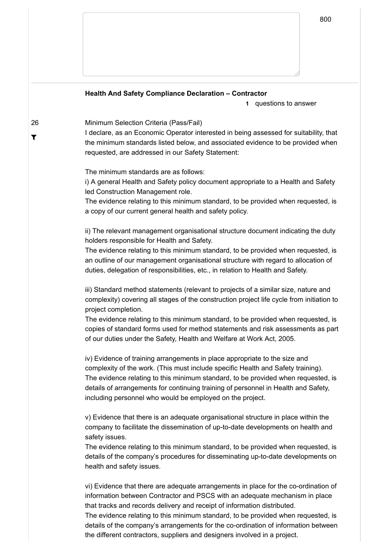**Health And Safety Compliance Declaration – Contractor**

**1** questions to answer

#### 26 Minimum Selection Criteria (Pass/Fail)

 $\overline{\mathbf{r}}$ 

 $\sqrt{202}$ 

I declare, as an Economic Operator interested in being assessed for suitability, that the minimum standards listed below, and associated evidence to be provided when requested, are addressed in our Safety Statement:

The minimum standards are as follows:

i) A general Health and Safety policy document appropriate to a Health and Safety led Construction Management role.

The evidence relating to this minimum standard, to be provided when requested, is a copy of our current general health and safety policy.

ii) The relevant management organisational structure document indicating the duty holders responsible for Health and Safety.

The evidence relating to this minimum standard, to be provided when requested, is an outline of our management organisational structure with regard to allocation of duties, delegation of responsibilities, etc., in relation to Health and Safety.

iii) Standard method statements (relevant to projects of a similar size, nature and complexity) covering all stages of the construction project life cycle from initiation to project completion.

The evidence relating to this minimum standard, to be provided when requested, is copies of standard forms used for method statements and risk assessments as part of our duties under the Safety, Health and Welfare at Work Act, 2005.

iv) Evidence of training arrangements in place appropriate to the size and complexity of the work. (This must include specific Health and Safety training). The evidence relating to this minimum standard, to be provided when requested, is details of arrangements for continuing training of personnel in Health and Safety, including personnel who would be employed on the project.

v) Evidence that there is an adequate organisational structure in place within the company to facilitate the dissemination of up-to-date developments on health and safety issues.

The evidence relating to this minimum standard, to be provided when requested, is details of the company's procedures for disseminating up-to-date developments on health and safety issues.

vi) Evidence that there are adequate arrangements in place for the co-ordination of information between Contractor and PSCS with an adequate mechanism in place that tracks and records delivery and receipt of information distributed.

the different contractors, suppliers and designers involved in a project.  $\hskip1cm \Box$ The evidence relating to this minimum standard, to be provided when requested, is details of the company's arrangements for the co-ordination of information between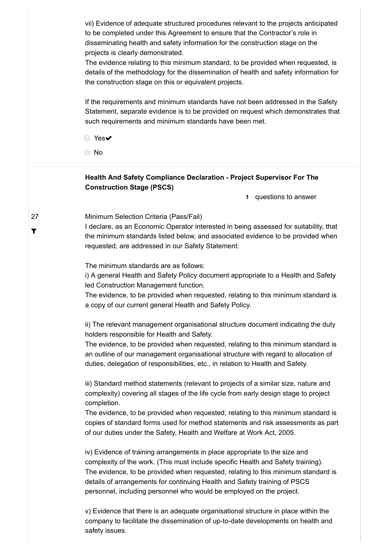vii) Evidence of adequate structured procedures relevant to the projects anticipated to be completed under this Agreement to ensure that the Contractor's role in disseminating health and safety information for the construction stage on the projects is clearly demonstrated.

The evidence relating to this minimum standard, to be provided when requested, is details of the methodology for the dissemination of health and safety information for the construction stage on this or equivalent projects.

If the requirements and minimum standards have not been addressed in the Safety Statement, separate evidence is to be provided on request which demonstrates that such requirements and minimum standards have been met.

◯ Yes

No

#### **Health And Safety Compliance Declaration - Project Supervisor For The Construction Stage (PSCS)**

**1** questions to answer

#### Minimum Selection Criteria (Pass/Fail)

20/04/2021 eu-supply.com

I declare, as an Economic Operator interested in being assessed for suitability, that the minimum standards listed below, and associated evidence to be provided when requested, are addressed in our Safety Statement:

The minimum standards are as follows:

i) A general Health and Safety Policy document appropriate to a Health and Safety led Construction Management function.

The evidence, to be provided when requested, relating to this minimum standard is a copy of our current general Health and Safety Policy.

ii) The relevant management organisational structure document indicating the duty holders responsible for Health and Safety.

The evidence, to be provided when requested, relating to this minimum standard is an outline of our management organisational structure with regard to allocation of duties, delegation of responsibilities, etc., in relation to Health and Safety.

iii) Standard method statements (relevant to projects of a similar size, nature and complexity) covering all stages of the life cycle from early design stage to project completion.

The evidence, to be provided when requested, relating to this minimum standard is copies of standard forms used for method statements and risk assessments as part of our duties under the Safety, Health and Welfare at Work Act, 2005.

iv) Evidence of training arrangements in place appropriate to the size and complexity of the work. (This must include specific Health and Safety training). The evidence, to be provided when requested, relating to this minimum standard is details of arrangements for continuing Health and Safety training of PSCS personnel, including personnel who would be employed on the project.

https://irl.eu-supply.com/app/rfq/response\_form\_print.asp?RFID=212190&TID=185410&PID=183745&LN=&E=-1&IID=&EM= 12/26 v) Evidence that there is an adequate organisational structure in place within the company to facilitate the dissemination of up-to-date developments on health and safety issues.

27  $\blacktriangledown$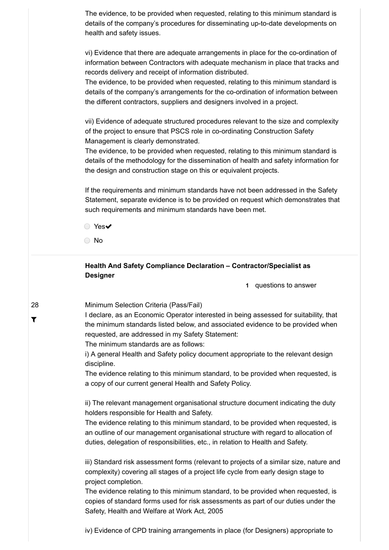The evidence, to be provided when requested, relating to this minimum standard is details of the company's procedures for disseminating up-to-date developments on health and safety issues.

> vi) Evidence that there are adequate arrangements in place for the co-ordination of information between Contractors with adequate mechanism in place that tracks and records delivery and receipt of information distributed.

> The evidence, to be provided when requested, relating to this minimum standard is details of the company's arrangements for the co-ordination of information between the different contractors, suppliers and designers involved in a project.

> vii) Evidence of adequate structured procedures relevant to the size and complexity of the project to ensure that PSCS role in co-ordinating Construction Safety Management is clearly demonstrated.

> The evidence, to be provided when requested, relating to this minimum standard is details of the methodology for the dissemination of health and safety information for the design and construction stage on this or equivalent projects.

> If the requirements and minimum standards have not been addressed in the Safety Statement, separate evidence is to be provided on request which demonstrates that such requirements and minimum standards have been met.

◯ Yes<del>v</del>

No

28

T

### **Health And Safety Compliance Declaration – Contractor/Specialist as Designer**

**1** questions to answer

Minimum Selection Criteria (Pass/Fail)

I declare, as an Economic Operator interested in being assessed for suitability, that the minimum standards listed below, and associated evidence to be provided when requested, are addressed in my Safety Statement:

The minimum standards are as follows:

i) A general Health and Safety policy document appropriate to the relevant design discipline.

The evidence relating to this minimum standard, to be provided when requested, is a copy of our current general Health and Safety Policy.

ii) The relevant management organisational structure document indicating the duty holders responsible for Health and Safety.

The evidence relating to this minimum standard, to be provided when requested, is an outline of our management organisational structure with regard to allocation of duties, delegation of responsibilities, etc., in relation to Health and Safety.

iii) Standard risk assessment forms (relevant to projects of a similar size, nature and complexity) covering all stages of a project life cycle from early design stage to project completion.

The evidence relating to this minimum standard, to be provided when requested, is copies of standard forms used for risk assessments as part of our duties under the Safety, Health and Welfare at Work Act, 2005

https://irl.eu-supply.com/app/rfq/response\_form\_print.asp?RFID=212190&TID=185410&PID=183745&LN=&E=-1&IID=&EM= 13/26 iv) Evidence of CPD training arrangements in place (for Designers) appropriate to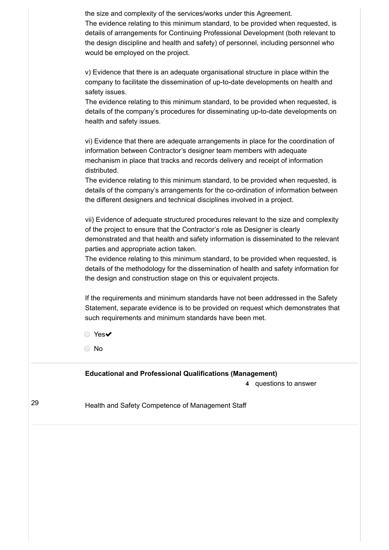| 29 | Health and Safety Competence of Management Staff                                                                                                                           |
|----|----------------------------------------------------------------------------------------------------------------------------------------------------------------------------|
|    | <b>Educational and Professional Qualifications (Management)</b><br>4 questions to answer                                                                                   |
|    | No<br>$\bigcirc$                                                                                                                                                           |
|    | $Yes\blacktriangleright$<br>$\bigcirc$                                                                                                                                     |
|    | such requirements and minimum standards have been met.                                                                                                                     |
|    | If the requirements and minimum standards have not been addressed in the Safety<br>Statement, separate evidence is to be provided on request which demonstrates that       |
|    | the design and construction stage on this or equivalent projects.                                                                                                          |
|    | The evidence relating to this minimum standard, to be provided when requested, is<br>details of the methodology for the dissemination of health and safety information for |
|    | parties and appropriate action taken.                                                                                                                                      |
|    | of the project to ensure that the Contractor's role as Designer is clearly<br>demonstrated and that health and safety information is disseminated to the relevant          |
|    | vii) Evidence of adequate structured procedures relevant to the size and complexity                                                                                        |
|    | details of the company's arrangements for the co-ordination of information between<br>the different designers and technical disciplines involved in a project.             |
|    | The evidence relating to this minimum standard, to be provided when requested, is                                                                                          |
|    | mechanism in place that tracks and records delivery and receipt of information<br>distributed.                                                                             |
|    | vi) Evidence that there are adequate arrangements in place for the coordination of<br>information between Contractor's designer team members with adequate                 |
|    | health and safety issues.                                                                                                                                                  |
|    | details of the company's procedures for disseminating up-to-date developments on                                                                                           |
|    | safety issues.<br>The evidence relating to this minimum standard, to be provided when requested, is                                                                        |
|    | v) Evidence that there is an adequate organisational structure in place within the<br>company to facilitate the dissemination of up-to-date developments on health and     |
|    | the design discipline and health and safety) of personnel, including personnel who<br>would be employed on the project.                                                    |
|    | The evidence relating to this minimum standard, to be provided when requested, is<br>details of arrangements for Continuing Professional Development (both relevant to     |
|    |                                                                                                                                                                            |

https://irl.eu-supply.com/app/rfq/response\_form\_print.asp?RFID=212190&TID=185410&PID=183745&LN=&E=-1&IID=&EM= 14/26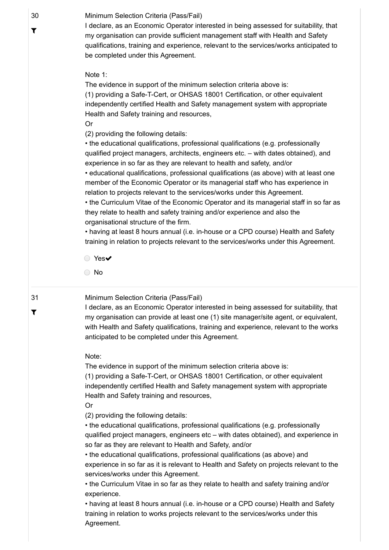30 Minimum Selection Criteria (Pass/Fail)

I declare, as an Economic Operator interested in being assessed for suitability, that my organisation can provide sufficient management staff with Health and Safety qualifications, training and experience, relevant to the services/works anticipated to be completed under this Agreement.

#### Note 1:

The evidence in support of the minimum selection criteria above is: (1) providing a Safe-T-Cert, or OHSAS 18001 Certification, or other equivalent independently certified Health and Safety management system with appropriate Health and Safety training and resources,

Or

(2) providing the following details:

• the educational qualifications, professional qualifications (e.g. professionally qualified project managers, architects, engineers etc. – with dates obtained), and experience in so far as they are relevant to health and safety, and/or

• educational qualifications, professional qualifications (as above) with at least one member of the Economic Operator or its managerial staff who has experience in relation to projects relevant to the services/works under this Agreement.

• the Curriculum Vitae of the Economic Operator and its managerial staff in so far as they relate to health and safety training and/or experience and also the organisational structure of the firm.

• having at least 8 hours annual (i.e. in-house or a CPD course) Health and Safety training in relation to projects relevant to the services/works under this Agreement.

◯ Yes<del>v</del>

○ No

## 31 T

30

T

#### Minimum Selection Criteria (Pass/Fail)

I declare, as an Economic Operator interested in being assessed for suitability, that my organisation can provide at least one (1) site manager/site agent, or equivalent, with Health and Safety qualifications, training and experience, relevant to the works anticipated to be completed under this Agreement.

#### Note:

The evidence in support of the minimum selection criteria above is: (1) providing a Safe-T-Cert, or OHSAS 18001 Certification, or other equivalent independently certified Health and Safety management system with appropriate Health and Safety training and resources,

Or

(2) providing the following details:

• the educational qualifications, professional qualifications (e.g. professionally qualified project managers, engineers etc – with dates obtained), and experience in so far as they are relevant to Health and Safety, and/or

• the educational qualifications, professional qualifications (as above) and experience in so far as it is relevant to Health and Safety on projects relevant to the services/works under this Agreement.

• the Curriculum Vitae in so far as they relate to health and safety training and/or experience.

• having at least 8 hours annual (i.e. in-house or a CPD course) Health and Safety training in relation to works projects relevant to the services/works under this Agreement.

https://irl.eu-supply.com/app/rfq/response\_form\_print.asp?RFID=212190&TID=185410&PID=183745&LN=&E=-1&IID=&EM= 15/26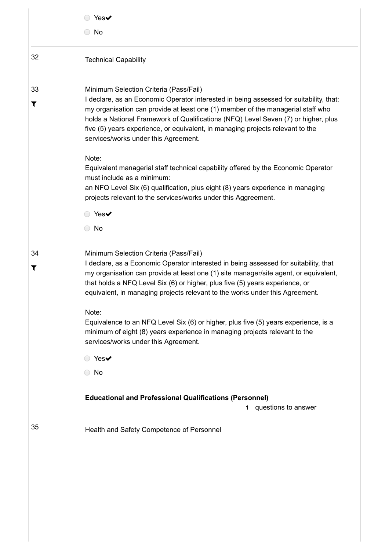|    | $\circ$ Yes $\checkmark$<br>◯ No                                                                                                                                                                                                                                                                                                                                                          |
|----|-------------------------------------------------------------------------------------------------------------------------------------------------------------------------------------------------------------------------------------------------------------------------------------------------------------------------------------------------------------------------------------------|
| 32 | <b>Technical Capability</b>                                                                                                                                                                                                                                                                                                                                                               |
| 33 | Minimum Selection Criteria (Pass/Fail)                                                                                                                                                                                                                                                                                                                                                    |
| T  | I declare, as an Economic Operator interested in being assessed for suitability, that:<br>my organisation can provide at least one (1) member of the managerial staff who<br>holds a National Framework of Qualifications (NFQ) Level Seven (7) or higher, plus<br>five (5) years experience, or equivalent, in managing projects relevant to the<br>services/works under this Agreement. |
|    | Note:                                                                                                                                                                                                                                                                                                                                                                                     |
|    | Equivalent managerial staff technical capability offered by the Economic Operator<br>must include as a minimum:                                                                                                                                                                                                                                                                           |
|    | an NFQ Level Six (6) qualification, plus eight (8) years experience in managing<br>projects relevant to the services/works under this Aggreement.                                                                                                                                                                                                                                         |
|    | ◯ Yes✔                                                                                                                                                                                                                                                                                                                                                                                    |
|    | $\bigcirc$ No                                                                                                                                                                                                                                                                                                                                                                             |
| 34 | Minimum Selection Criteria (Pass/Fail)                                                                                                                                                                                                                                                                                                                                                    |
| T  | I declare, as a Economic Operator interested in being assessed for suitability, that<br>my organisation can provide at least one (1) site manager/site agent, or equivalent,<br>that holds a NFQ Level Six (6) or higher, plus five (5) years experience, or<br>equivalent, in managing projects relevant to the works under this Agreement.                                              |
|    | Note:                                                                                                                                                                                                                                                                                                                                                                                     |
|    | Equivalence to an NFQ Level Six (6) or higher, plus five (5) years experience, is a<br>minimum of eight (8) years experience in managing projects relevant to the<br>services/works under this Agreement.                                                                                                                                                                                 |
|    | ◯ Yes✔                                                                                                                                                                                                                                                                                                                                                                                    |
|    | $\bigcirc$ No                                                                                                                                                                                                                                                                                                                                                                             |
|    | <b>Educational and Professional Qualifications (Personnel)</b>                                                                                                                                                                                                                                                                                                                            |
|    | 1 questions to answer                                                                                                                                                                                                                                                                                                                                                                     |
|    |                                                                                                                                                                                                                                                                                                                                                                                           |

https://irl.eu-supply.com/app/rfq/response\_form\_print.asp?RFID=212190&TID=185410&PID=183745&LN=&E=-1&IID=&EM= 16/26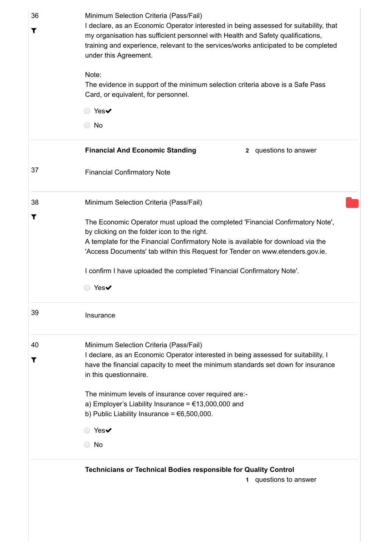| Note:<br>The evidence in support of the minimum selection criteria above is a Safe Pass<br>Card, or equivalent, for personnel.<br>$\circ$ Yes $\checkmark$<br>$\circ$ No<br><b>Financial And Economic Standing</b><br>2 questions to answer<br><b>Financial Confirmatory Note</b><br>Minimum Selection Criteria (Pass/Fail)<br>The Economic Operator must upload the completed 'Financial Confirmatory Note',<br>by clicking on the folder icon to the right.<br>A template for the Financial Confirmatory Note is available for download via the<br>'Access Documents' tab within this Request for Tender on www.etenders.gov.ie.<br>I confirm I have uploaded the completed 'Financial Confirmatory Note'. |
|--------------------------------------------------------------------------------------------------------------------------------------------------------------------------------------------------------------------------------------------------------------------------------------------------------------------------------------------------------------------------------------------------------------------------------------------------------------------------------------------------------------------------------------------------------------------------------------------------------------------------------------------------------------------------------------------------------------|
|                                                                                                                                                                                                                                                                                                                                                                                                                                                                                                                                                                                                                                                                                                              |
|                                                                                                                                                                                                                                                                                                                                                                                                                                                                                                                                                                                                                                                                                                              |
|                                                                                                                                                                                                                                                                                                                                                                                                                                                                                                                                                                                                                                                                                                              |
|                                                                                                                                                                                                                                                                                                                                                                                                                                                                                                                                                                                                                                                                                                              |
|                                                                                                                                                                                                                                                                                                                                                                                                                                                                                                                                                                                                                                                                                                              |
|                                                                                                                                                                                                                                                                                                                                                                                                                                                                                                                                                                                                                                                                                                              |
|                                                                                                                                                                                                                                                                                                                                                                                                                                                                                                                                                                                                                                                                                                              |
| $\circ$ Yes $\checkmark$                                                                                                                                                                                                                                                                                                                                                                                                                                                                                                                                                                                                                                                                                     |
| Insurance                                                                                                                                                                                                                                                                                                                                                                                                                                                                                                                                                                                                                                                                                                    |
| Minimum Selection Criteria (Pass/Fail)                                                                                                                                                                                                                                                                                                                                                                                                                                                                                                                                                                                                                                                                       |
| I declare, as an Economic Operator interested in being assessed for suitability, I<br>have the financial capacity to meet the minimum standards set down for insurance<br>in this questionnaire.                                                                                                                                                                                                                                                                                                                                                                                                                                                                                                             |
| The minimum levels of insurance cover required are:-<br>a) Employer's Liability Insurance = $£13,000,000$ and<br>b) Public Liability Insurance = $€6,500,000$ .                                                                                                                                                                                                                                                                                                                                                                                                                                                                                                                                              |
| Yes $\blacktriangledown$                                                                                                                                                                                                                                                                                                                                                                                                                                                                                                                                                                                                                                                                                     |
| $\bigcirc$ No                                                                                                                                                                                                                                                                                                                                                                                                                                                                                                                                                                                                                                                                                                |
|                                                                                                                                                                                                                                                                                                                                                                                                                                                                                                                                                                                                                                                                                                              |
|                                                                                                                                                                                                                                                                                                                                                                                                                                                                                                                                                                                                                                                                                                              |

https://irl.eu-supply.com/app/rfq/response\_form\_print.asp?RFID=212190&TID=185410&PID=183745&LN=&E=-1&IID=&EM= 17/26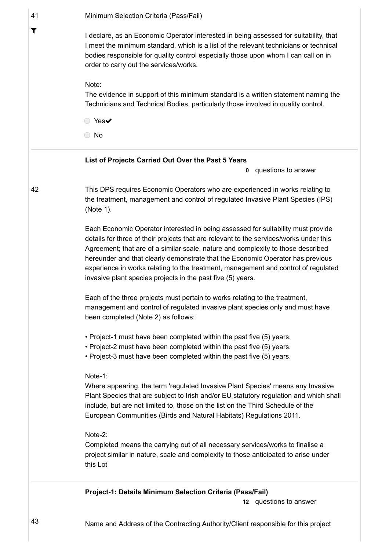| 41                   | Minimum Selection Criteria (Pass/Fail)                                                                                                                                                                                                                                                                                                                                                                                                                                                                |
|----------------------|-------------------------------------------------------------------------------------------------------------------------------------------------------------------------------------------------------------------------------------------------------------------------------------------------------------------------------------------------------------------------------------------------------------------------------------------------------------------------------------------------------|
| $\blacktriangledown$ | I declare, as an Economic Operator interested in being assessed for suitability, that<br>I meet the minimum standard, which is a list of the relevant technicians or technical<br>bodies responsible for quality control especially those upon whom I can call on in<br>order to carry out the services/works.                                                                                                                                                                                        |
|                      | Note:<br>The evidence in support of this minimum standard is a written statement naming the<br>Technicians and Technical Bodies, particularly those involved in quality control.                                                                                                                                                                                                                                                                                                                      |
|                      | ○ Yes✔                                                                                                                                                                                                                                                                                                                                                                                                                                                                                                |
|                      | No<br>$\bigcirc$                                                                                                                                                                                                                                                                                                                                                                                                                                                                                      |
|                      | List of Projects Carried Out Over the Past 5 Years<br>questions to answer<br>0                                                                                                                                                                                                                                                                                                                                                                                                                        |
| 42                   | This DPS requires Economic Operators who are experienced in works relating to<br>the treatment, management and control of regulated Invasive Plant Species (IPS)<br>(Note 1).                                                                                                                                                                                                                                                                                                                         |
|                      | Each Economic Operator interested in being assessed for suitability must provide<br>details for three of their projects that are relevant to the services/works under this<br>Agreement; that are of a similar scale, nature and complexity to those described<br>hereunder and that clearly demonstrate that the Economic Operator has previous<br>experience in works relating to the treatment, management and control of regulated<br>invasive plant species projects in the past five (5) years. |
|                      | Each of the three projects must pertain to works relating to the treatment,<br>management and control of regulated invasive plant species only and must have<br>been completed (Note 2) as follows:                                                                                                                                                                                                                                                                                                   |
|                      | • Project-1 must have been completed within the past five (5) years.<br>• Project-2 must have been completed within the past five (5) years.<br>• Project-3 must have been completed within the past five (5) years.                                                                                                                                                                                                                                                                                  |
|                      | Note-1:<br>Where appearing, the term 'regulated Invasive Plant Species' means any Invasive<br>Plant Species that are subject to Irish and/or EU statutory regulation and which shall<br>include, but are not limited to, those on the list on the Third Schedule of the<br>European Communities (Birds and Natural Habitats) Regulations 2011.                                                                                                                                                        |
|                      | Note-2:<br>Completed means the carrying out of all necessary services/works to finalise a<br>project similar in nature, scale and complexity to those anticipated to arise under<br>this Lot                                                                                                                                                                                                                                                                                                          |
|                      | Project-1: Details Minimum Selection Criteria (Pass/Fail)                                                                                                                                                                                                                                                                                                                                                                                                                                             |
|                      | 12 questions to answer                                                                                                                                                                                                                                                                                                                                                                                                                                                                                |

https://irl.eu-supply.com/app/rfq/response\_form\_print.asp?RFID=212190&TID=185410&PID=183745&LN=&E=-1&IID=&EM= 18/26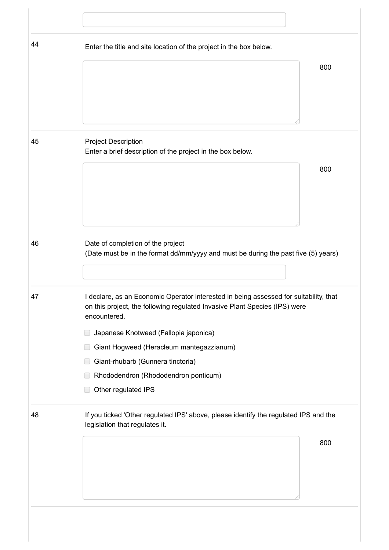| 44 | Enter the title and site location of the project in the box below.                                                                                                  |  |
|----|---------------------------------------------------------------------------------------------------------------------------------------------------------------------|--|
|    | 800                                                                                                                                                                 |  |
|    |                                                                                                                                                                     |  |
|    |                                                                                                                                                                     |  |
|    |                                                                                                                                                                     |  |
| 45 | <b>Project Description</b>                                                                                                                                          |  |
|    | Enter a brief description of the project in the box below.                                                                                                          |  |
|    | 800                                                                                                                                                                 |  |
|    |                                                                                                                                                                     |  |
|    |                                                                                                                                                                     |  |
|    |                                                                                                                                                                     |  |
| 46 | Date of completion of the project                                                                                                                                   |  |
|    | (Date must be in the format dd/mm/yyyy and must be during the past five (5) years)                                                                                  |  |
|    |                                                                                                                                                                     |  |
| 47 | I declare, as an Economic Operator interested in being assessed for suitability, that<br>on this project, the following regulated Invasive Plant Species (IPS) were |  |
|    | encountered.                                                                                                                                                        |  |
|    | Japanese Knotweed (Fallopia japonica)<br>U                                                                                                                          |  |
|    | Giant Hogweed (Heracleum mantegazzianum)                                                                                                                            |  |
|    | Giant-rhubarb (Gunnera tinctoria)                                                                                                                                   |  |
|    | Rhododendron (Rhododendron ponticum)<br>Other regulated IPS                                                                                                         |  |
|    |                                                                                                                                                                     |  |
| 48 | If you ticked 'Other regulated IPS' above, please identify the regulated IPS and the<br>legislation that regulates it.                                              |  |
|    | 800                                                                                                                                                                 |  |
|    |                                                                                                                                                                     |  |
|    |                                                                                                                                                                     |  |
|    |                                                                                                                                                                     |  |
|    |                                                                                                                                                                     |  |

https://irl.eu-supply.com/app/rfq/response\_form\_print.asp?RFID=212190&TID=185410&PID=183745&LN=&E=-1&IID=&EM= 19/26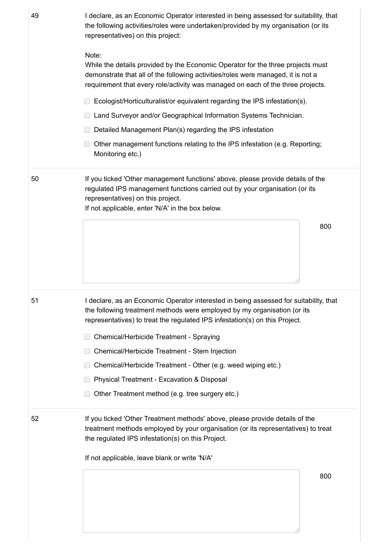| 49 | I declare, as an Economic Operator interested in being assessed for suitability, that<br>the following activities/roles were undertaken/provided by my organisation (or its<br>representatives) on this project:                                                |  |
|----|-----------------------------------------------------------------------------------------------------------------------------------------------------------------------------------------------------------------------------------------------------------------|--|
|    | Note:<br>While the details provided by the Economic Operator for the three projects must<br>demonstrate that all of the following activities/roles were managed, it is not a<br>requirement that every role/activity was managed on each of the three projects. |  |
|    | Ecologist/Horticulturalist/or equivalent regarding the IPS infestation(s).                                                                                                                                                                                      |  |
|    | Land Surveyor and/or Geographical Information Systems Technician.                                                                                                                                                                                               |  |
|    | Detailed Management Plan(s) regarding the IPS infestation                                                                                                                                                                                                       |  |
|    | Other management functions relating to the IPS infestation (e.g. Reporting;<br>Monitoring etc.)                                                                                                                                                                 |  |
| 50 | If you ticked 'Other management functions' above, please provide details of the<br>regulated IPS management functions carried out by your organisation (or its<br>representatives) on this project.<br>If not applicable, enter 'N/A' in the box below.         |  |
|    | 800                                                                                                                                                                                                                                                             |  |
| 51 | I declare, as an Economic Operator interested in being assessed for suitability, that<br>the following treatment methods were employed by my organisation (or its<br>representatives) to treat the regulated IPS infestation(s) on this Project.                |  |
|    | Chemical/Herbicide Treatment - Spraying                                                                                                                                                                                                                         |  |
|    |                                                                                                                                                                                                                                                                 |  |
|    | Chemical/Herbicide Treatment - Stem Injection                                                                                                                                                                                                                   |  |
|    | Chemical/Herbicide Treatment - Other (e.g. weed wiping etc.)                                                                                                                                                                                                    |  |
|    | <b>Physical Treatment - Excavation &amp; Disposal</b>                                                                                                                                                                                                           |  |
|    | Other Treatment method (e.g. tree surgery etc.)                                                                                                                                                                                                                 |  |
|    | If you ticked 'Other Treatment methods' above, please provide details of the<br>treatment methods employed by your organisation (or its representatives) to treat<br>the regulated IPS infestation(s) on this Project.                                          |  |
|    | If not applicable, leave blank or write 'N/A'                                                                                                                                                                                                                   |  |
| 52 | 800                                                                                                                                                                                                                                                             |  |

https://irl.eu-supply.com/app/rfq/response\_form\_print.asp?RFID=212190&TID=185410&PID=183745&LN=&E=-1&IID=&EM= 20/26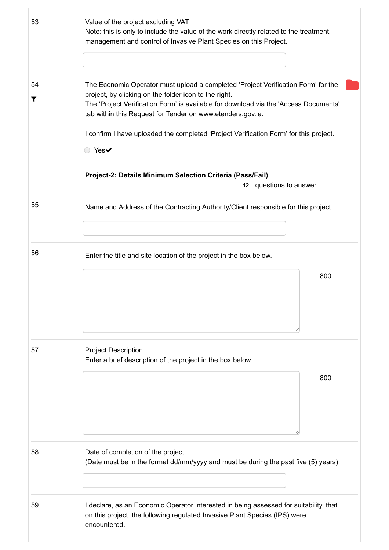| 53      | Value of the project excluding VAT<br>Note: this is only to include the value of the work directly related to the treatment,<br>management and control of Invasive Plant Species on this Project.                                                                                                                                                                                                   |
|---------|-----------------------------------------------------------------------------------------------------------------------------------------------------------------------------------------------------------------------------------------------------------------------------------------------------------------------------------------------------------------------------------------------------|
| 54<br>T | The Economic Operator must upload a completed 'Project Verification Form' for the<br>project, by clicking on the folder icon to the right.<br>The 'Project Verification Form' is available for download via the 'Access Documents'<br>tab within this Request for Tender on www.etenders.gov.ie.<br>I confirm I have uploaded the completed 'Project Verification Form' for this project.<br>○ Yes✔ |
|         | Project-2: Details Minimum Selection Criteria (Pass/Fail)<br>12 questions to answer                                                                                                                                                                                                                                                                                                                 |
| 55      | Name and Address of the Contracting Authority/Client responsible for this project                                                                                                                                                                                                                                                                                                                   |
| 56      | Enter the title and site location of the project in the box below.<br>800                                                                                                                                                                                                                                                                                                                           |
| 57      | <b>Project Description</b><br>Enter a brief description of the project in the box below.<br>800                                                                                                                                                                                                                                                                                                     |
| 58      | Date of completion of the project<br>(Date must be in the format dd/mm/yyyy and must be during the past five (5) years)                                                                                                                                                                                                                                                                             |
| 59      | I declare, as an Economic Operator interested in being assessed for suitability, that<br>on this project, the following regulated Invasive Plant Species (IPS) were<br>encountered.                                                                                                                                                                                                                 |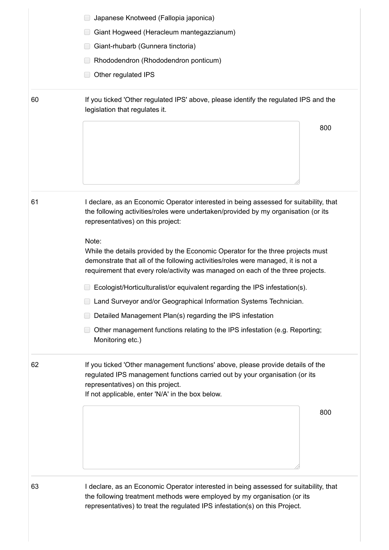|    | Japanese Knotweed (Fallopia japonica)                                                                                                                                                                                                                   |  |
|----|---------------------------------------------------------------------------------------------------------------------------------------------------------------------------------------------------------------------------------------------------------|--|
|    | Giant Hogweed (Heracleum mantegazzianum)                                                                                                                                                                                                                |  |
|    | Giant-rhubarb (Gunnera tinctoria)                                                                                                                                                                                                                       |  |
|    | Rhododendron (Rhododendron ponticum)                                                                                                                                                                                                                    |  |
|    | Other regulated IPS                                                                                                                                                                                                                                     |  |
| 60 | If you ticked 'Other regulated IPS' above, please identify the regulated IPS and the<br>legislation that regulates it.                                                                                                                                  |  |
|    | 800                                                                                                                                                                                                                                                     |  |
|    |                                                                                                                                                                                                                                                         |  |
|    |                                                                                                                                                                                                                                                         |  |
|    |                                                                                                                                                                                                                                                         |  |
| 61 | I declare, as an Economic Operator interested in being assessed for suitability, that<br>the following activities/roles were undertaken/provided by my organisation (or its<br>representatives) on this project:                                        |  |
|    | Note:                                                                                                                                                                                                                                                   |  |
|    | While the details provided by the Economic Operator for the three projects must<br>demonstrate that all of the following activities/roles were managed, it is not a<br>requirement that every role/activity was managed on each of the three projects.  |  |
|    | Ecologist/Horticulturalist/or equivalent regarding the IPS infestation(s).                                                                                                                                                                              |  |
|    | Land Surveyor and/or Geographical Information Systems Technician.                                                                                                                                                                                       |  |
|    | Detailed Management Plan(s) regarding the IPS infestation                                                                                                                                                                                               |  |
|    | Other management functions relating to the IPS infestation (e.g. Reporting;<br>Monitoring etc.)                                                                                                                                                         |  |
| 62 | If you ticked 'Other management functions' above, please provide details of the<br>regulated IPS management functions carried out by your organisation (or its<br>representatives) on this project.<br>If not applicable, enter 'N/A' in the box below. |  |
|    | 800                                                                                                                                                                                                                                                     |  |
|    |                                                                                                                                                                                                                                                         |  |
| 63 | I declare, as an Economic Operator interested in being assessed for suitability, that<br>the following treatment methods were employed by my organisation (or its                                                                                       |  |

https://irl.eu-supply.com/app/rfq/response\_form\_print.asp?RFID=212190&TID=185410&PID=183745&LN=&E=-1&IID=&EM= 22/26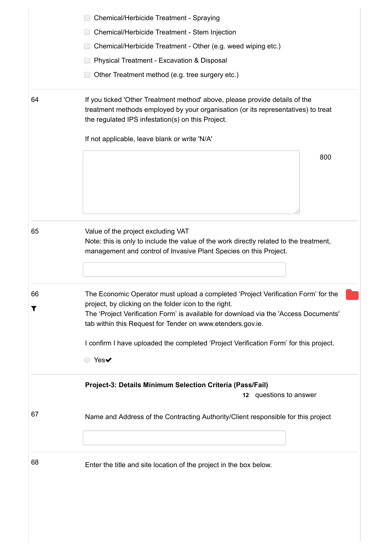|         | Chemical/Herbicide Treatment - Spraying                                                                                                                                                                                                                                                          |  |  |
|---------|--------------------------------------------------------------------------------------------------------------------------------------------------------------------------------------------------------------------------------------------------------------------------------------------------|--|--|
|         | Chemical/Herbicide Treatment - Stem Injection                                                                                                                                                                                                                                                    |  |  |
|         | Chemical/Herbicide Treatment - Other (e.g. weed wiping etc.)                                                                                                                                                                                                                                     |  |  |
|         | Physical Treatment - Excavation & Disposal                                                                                                                                                                                                                                                       |  |  |
|         | Other Treatment method (e.g. tree surgery etc.)                                                                                                                                                                                                                                                  |  |  |
|         |                                                                                                                                                                                                                                                                                                  |  |  |
| 64      | If you ticked 'Other Treatment method' above, please provide details of the<br>treatment methods employed by your organisation (or its representatives) to treat<br>the regulated IPS infestation(s) on this Project.                                                                            |  |  |
|         | If not applicable, leave blank or write 'N/A'                                                                                                                                                                                                                                                    |  |  |
|         | 800                                                                                                                                                                                                                                                                                              |  |  |
| 65      | Value of the project excluding VAT<br>Note: this is only to include the value of the work directly related to the treatment,<br>management and control of Invasive Plant Species on this Project.                                                                                                |  |  |
| 66<br>T | The Economic Operator must upload a completed 'Project Verification Form' for the<br>project, by clicking on the folder icon to the right.<br>The 'Project Verification Form' is available for download via the 'Access Documents'<br>tab within this Request for Tender on www.etenders.gov.ie. |  |  |
|         | I confirm I have uploaded the completed 'Project Verification Form' for this project.<br>◯ Yes                                                                                                                                                                                                   |  |  |
|         | Project-3: Details Minimum Selection Criteria (Pass/Fail)<br>12 questions to answer                                                                                                                                                                                                              |  |  |
| 67      | Name and Address of the Contracting Authority/Client responsible for this project                                                                                                                                                                                                                |  |  |
|         | Enter the title and site location of the project in the box below.                                                                                                                                                                                                                               |  |  |

https://irl.eu-supply.com/app/rfq/response\_form\_print.asp?RFID=212190&TID=185410&PID=183745&LN=&E=-1&IID=&EM= 23/26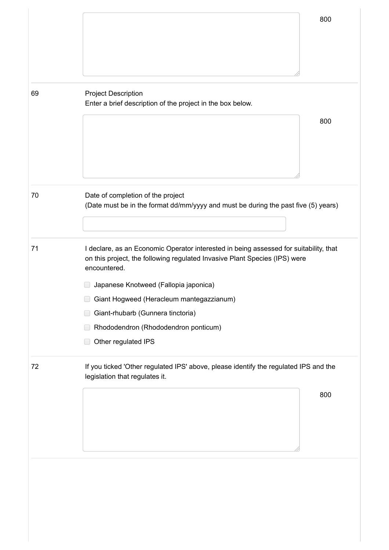|    | 800                                                                                                                                                                                                                                                                                                                                                                          |  |
|----|------------------------------------------------------------------------------------------------------------------------------------------------------------------------------------------------------------------------------------------------------------------------------------------------------------------------------------------------------------------------------|--|
| 69 | <b>Project Description</b><br>Enter a brief description of the project in the box below.<br>800                                                                                                                                                                                                                                                                              |  |
| 70 | Date of completion of the project<br>(Date must be in the format dd/mm/yyyy and must be during the past five (5) years)                                                                                                                                                                                                                                                      |  |
| 71 | I declare, as an Economic Operator interested in being assessed for suitability, that<br>on this project, the following regulated Invasive Plant Species (IPS) were<br>encountered.<br>Japanese Knotweed (Fallopia japonica)<br>Giant Hogweed (Heracleum mantegazzianum)<br>Giant-rhubarb (Gunnera tinctoria)<br>Rhododendron (Rhododendron ponticum)<br>Other regulated IPS |  |
| 72 | If you ticked 'Other regulated IPS' above, please identify the regulated IPS and the<br>legislation that regulates it.<br>800                                                                                                                                                                                                                                                |  |
|    |                                                                                                                                                                                                                                                                                                                                                                              |  |

https://irl.eu-supply.com/app/rfq/response\_form\_print.asp?RFID=212190&TID=185410&PID=183745&LN=&E=-1&IID=&EM= 24/26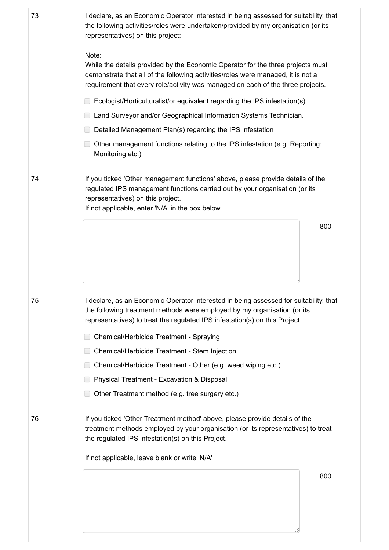| 73 | I declare, as an Economic Operator interested in being assessed for suitability, that<br>the following activities/roles were undertaken/provided by my organisation (or its<br>representatives) on this project:                                                |  |  |
|----|-----------------------------------------------------------------------------------------------------------------------------------------------------------------------------------------------------------------------------------------------------------------|--|--|
|    | Note:<br>While the details provided by the Economic Operator for the three projects must<br>demonstrate that all of the following activities/roles were managed, it is not a<br>requirement that every role/activity was managed on each of the three projects. |  |  |
|    | Ecologist/Horticulturalist/or equivalent regarding the IPS infestation(s).                                                                                                                                                                                      |  |  |
|    | Land Surveyor and/or Geographical Information Systems Technician.                                                                                                                                                                                               |  |  |
|    | Detailed Management Plan(s) regarding the IPS infestation                                                                                                                                                                                                       |  |  |
|    | Other management functions relating to the IPS infestation (e.g. Reporting;<br>Monitoring etc.)                                                                                                                                                                 |  |  |
| 74 | If you ticked 'Other management functions' above, please provide details of the<br>regulated IPS management functions carried out by your organisation (or its<br>representatives) on this project.<br>If not applicable, enter 'N/A' in the box below.         |  |  |
|    | 800                                                                                                                                                                                                                                                             |  |  |
| 75 | I declare, as an Economic Operator interested in being assessed for suitability, that<br>the following treatment methods were employed by my organisation (or its                                                                                               |  |  |
|    | representatives) to treat the regulated IPS infestation(s) on this Project.                                                                                                                                                                                     |  |  |
|    | Chemical/Herbicide Treatment - Spraying                                                                                                                                                                                                                         |  |  |
|    | Chemical/Herbicide Treatment - Stem Injection                                                                                                                                                                                                                   |  |  |
|    | Chemical/Herbicide Treatment - Other (e.g. weed wiping etc.)                                                                                                                                                                                                    |  |  |
|    | Physical Treatment - Excavation & Disposal                                                                                                                                                                                                                      |  |  |
|    | Other Treatment method (e.g. tree surgery etc.)                                                                                                                                                                                                                 |  |  |
| 76 | If you ticked 'Other Treatment method' above, please provide details of the<br>treatment methods employed by your organisation (or its representatives) to treat<br>the regulated IPS infestation(s) on this Project.                                           |  |  |
|    | If not applicable, leave blank or write 'N/A'                                                                                                                                                                                                                   |  |  |
|    | 800                                                                                                                                                                                                                                                             |  |  |

https://irl.eu-supply.com/app/rfq/response\_form\_print.asp?RFID=212190&TID=185410&PID=183745&LN=&E=-1&IID=&EM= 25/26